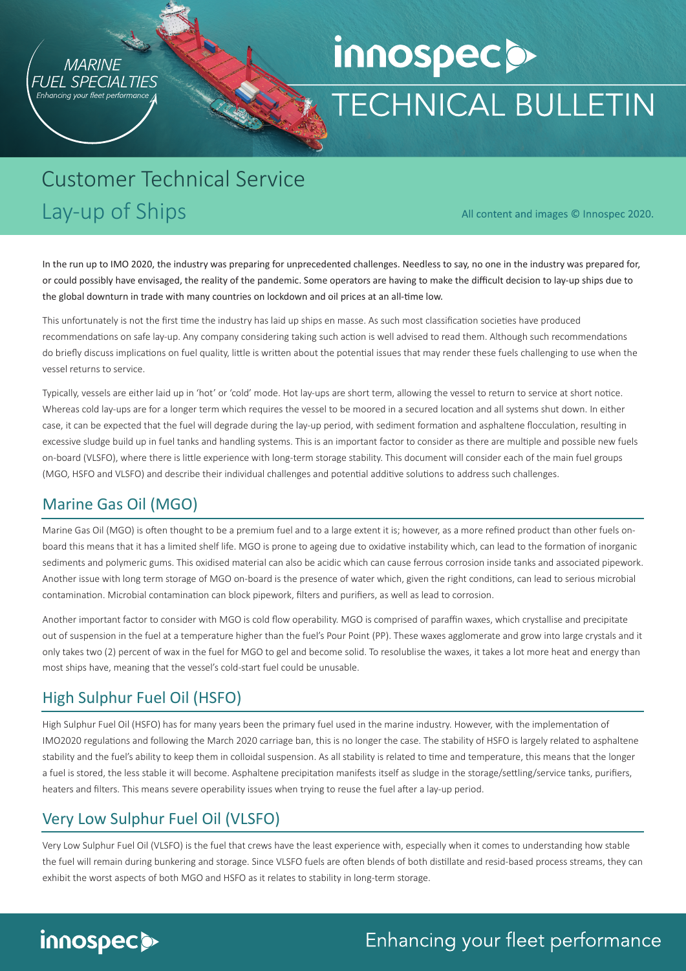

# innospecs **TECHNICAL BULLETIN**

# Customer Technical Service Lay-up of Ships

All content and images © Innospec 2020.

In the run up to IMO 2020, the industry was preparing for unprecedented challenges. Needless to say, no one in the industry was prepared for, or could possibly have envisaged, the reality of the pandemic. Some operators are having to make the difficult decision to lay-up ships due to the global downturn in trade with many countries on lockdown and oil prices at an all-time low.

This unfortunately is not the first time the industry has laid up ships en masse. As such most classification societies have produced recommendations on safe lay-up. Any company considering taking such action is well advised to read them. Although such recommendations do briefly discuss implications on fuel quality, little is written about the potential issues that may render these fuels challenging to use when the vessel returns to service.

Typically, vessels are either laid up in 'hot' or 'cold' mode. Hot lay-ups are short term, allowing the vessel to return to service at short notice. Whereas cold lay-ups are for a longer term which requires the vessel to be moored in a secured location and all systems shut down. In either case, it can be expected that the fuel will degrade during the lay-up period, with sediment formation and asphaltene flocculation, resulting in excessive sludge build up in fuel tanks and handling systems. This is an important factor to consider as there are multiple and possible new fuels on-board (VLSFO), where there is little experience with long-term storage stability. This document will consider each of the main fuel groups (MGO, HSFO and VLSFO) and describe their individual challenges and potential additive solutions to address such challenges.

#### Marine Gas Oil (MGO)

Marine Gas Oil (MGO) is often thought to be a premium fuel and to a large extent it is; however, as a more refined product than other fuels onboard this means that it has a limited shelf life. MGO is prone to ageing due to oxidative instability which, can lead to the formation of inorganic sediments and polymeric gums. This oxidised material can also be acidic which can cause ferrous corrosion inside tanks and associated pipework. Another issue with long term storage of MGO on-board is the presence of water which, given the right conditions, can lead to serious microbial contamination. Microbial contamination can block pipework, filters and purifiers, as well as lead to corrosion.

Another important factor to consider with MGO is cold flow operability. MGO is comprised of paraffin waxes, which crystallise and precipitate out of suspension in the fuel at a temperature higher than the fuel's Pour Point (PP). These waxes agglomerate and grow into large crystals and it only takes two (2) percent of wax in the fuel for MGO to gel and become solid. To resolublise the waxes, it takes a lot more heat and energy than most ships have, meaning that the vessel's cold-start fuel could be unusable.

## High Sulphur Fuel Oil (HSFO)

High Sulphur Fuel Oil (HSFO) has for many years been the primary fuel used in the marine industry. However, with the implementation of IMO2020 regulations and following the March 2020 carriage ban, this is no longer the case. The stability of HSFO is largely related to asphaltene stability and the fuel's ability to keep them in colloidal suspension. As all stability is related to time and temperature, this means that the longer a fuel is stored, the less stable it will become. Asphaltene precipitation manifests itself as sludge in the storage/settling/service tanks, purifiers, heaters and filters. This means severe operability issues when trying to reuse the fuel after a lay-up period.

## Very Low Sulphur Fuel Oil (VLSFO)

Very Low Sulphur Fuel Oil (VLSFO) is the fuel that crews have the least experience with, especially when it comes to understanding how stable the fuel will remain during bunkering and storage. Since VLSFO fuels are often blends of both distillate and resid-based process streams, they can exhibit the worst aspects of both MGO and HSFO as it relates to stability in long-term storage.



## Enhancing your fleet performance